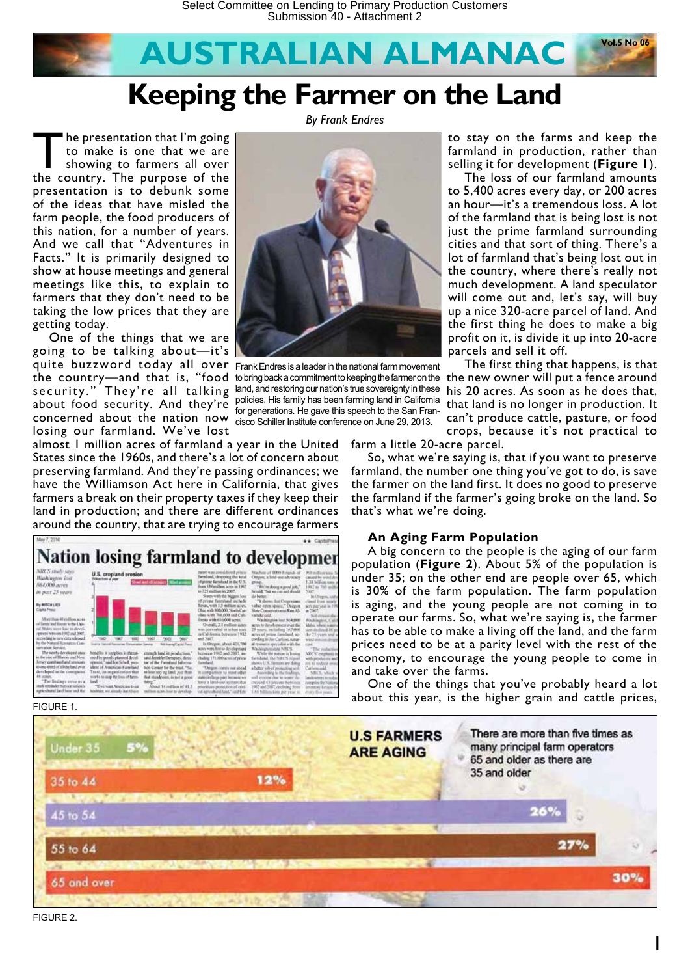

*By Frank Endres*

The presentation that I'm going<br>to make is one that we are<br>showing to farmers all over<br>the country. The purpose of the to make is one that we are the country. The purpose of the presentation is to debunk some of the ideas that have misled the farm people, the food producers of this nation, for a number of years. And we call that "Adventures in Facts." It is primarily designed to show at house meetings and general meetings like this, to explain to farmers that they don't need to be taking the low prices that they are getting today.

One of the things that we are going to be talking about—it's quite buzzword today all over Frank Endres is a leader in the national farm movement concerned about the nation now cisco Schiller Institute conference on June 29, 2013. losing our farmland. We've lost

the country—and that is, "food to bring back a commitment to keeping the farmer on the security." They're all talking land,andrestoring ournation's true sovereignty in these about food security. And they're policies His family has been farming land in California for generations. He gave this speech to the San Fran-

almost 1 million acres of farmland a year in the United States since the 1960s, and there's a lot of concern about preserving farmland. And they're passing ordinances; we have the Williamson Act here in California, that gives farmers a break on their property taxes if they keep their land in production; and there are different ordinances around the country, that are trying to encourage farmers



#### FIGURE 1.

There are more than five times as **U.S FARMERS** many principal farm operators Under 35 **ARE AGING** 65 and older as there are 35 and older 12% 35 to 44 15 to 54 55 to 64 30% 65 and over

FIGURE 2.

farm a little 20-acre parcel.

So, what we're saying is, that if you want to preserve farmland, the number one thing you've got to do, is save the farmer on the land first. It does no good to preserve the farmland if the farmer's going broke on the land. So that's what we're doing.

parcels and sell it off.

to stay on the farms and keep the farmland in production, rather than selling it for development (**Figure 1**). The loss of our farmland amounts to 5,400 acres every day, or 200 acres an hour—it's a tremendous loss. A lot of the farmland that is being lost is not just the prime farmland surrounding cities and that sort of thing. There's a lot of farmland that's being lost out in the country, where there's really not much development. A land speculator will come out and, let's say, will buy up a nice 320-acre parcel of land. And the first thing he does to make a big profit on it, is divide it up into 20-acre

The first thing that happens, is that the new owner will put a fence around his 20 acres. As soon as he does that, that land is no longer in production. It can't produce cattle, pasture, or food crops, because it's not practical to

#### **An Aging Farm Population**

A big concern to the people is the aging of our farm population (**Figure 2**). About 5% of the population is under 35; on the other end are people over 65, which is 30% of the farm population. The farm population is aging, and the young people are not coming in to operate our farms. So, what we're saying is, the farmer has to be able to make a living off the land, and the farm prices need to be at a parity level with the rest of the economy, to encourage the young people to come in and take over the farms.

One of the things that you've probably heard a lot about this year, is the higher grain and cattle prices,

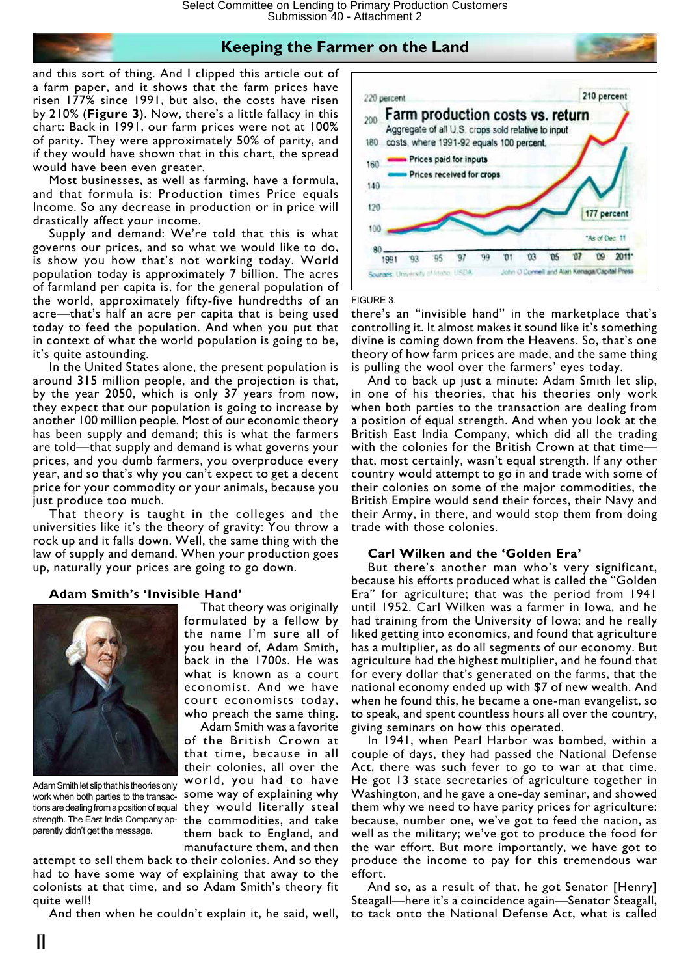and this sort of thing. And I clipped this article out of a farm paper, and it shows that the farm prices have risen 177% since 1991, but also, the costs have risen by 210% (**Figure 3**). Now, there's a little fallacy in this chart: Back in 1991, our farm prices were not at 100% of parity. They were approximately 50% of parity, and if they would have shown that in this chart, the spread would have been even greater.

Most businesses, as well as farming, have a formula, and that formula is: Production times Price equals Income. So any decrease in production or in price will drastically affect your income.

Supply and demand: We're told that this is what governs our prices, and so what we would like to do, is show you how that's not working today. World population today is approximately 7 billion. The acres of farmland per capita is, for the general population of the world, approximately fifty-five hundredths of an acre—that's half an acre per capita that is being used today to feed the population. And when you put that in context of what the world population is going to be, it's quite astounding.

In the United States alone, the present population is around 315 million people, and the projection is that, by the year 2050, which is only 37 years from now, they expect that our population is going to increase by another 100 million people. Most of our economic theory has been supply and demand; this is what the farmers are told—that supply and demand is what governs your prices, and you dumb farmers, you overproduce every year, and so that's why you can't expect to get a decent price for your commodity or your animals, because you just produce too much.

That theory is taught in the colleges and the universities like it's the theory of gravity: You throw a rock up and it falls down. Well, the same thing with the law of supply and demand. When your production goes up, naturally your prices are going to go down.

#### **Adam Smith's 'Invisible Hand'**



Adam Smith let slip that his theories only work when both parties to the transacstrength. The East India Company apparently didn't get the message.

That theory was originally formulated by a fellow by the name I'm sure all of you heard of, Adam Smith, back in the 1700s. He was what is known as a court economist. And we have court economists today, who preach the same thing.

Adam Smith was a favorite of the British Crown at that time, because in all their colonies, all over the world, you had to have some way of explaining why tions are dealing from a position of equal they would literally steal the commodities, and take them back to England, and manufacture them, and then

attempt to sell them back to their colonies. And so they had to have some way of explaining that away to the colonists at that time, and so Adam Smith's theory fit quite well!

And then when he couldn't explain it, he said, well,



#### FIGURE 3.

there's an "invisible hand" in the marketplace that's controlling it. It almost makes it sound like it's something divine is coming down from the Heavens. So, that's one theory of how farm prices are made, and the same thing is pulling the wool over the farmers' eyes today.

And to back up just a minute: Adam Smith let slip, in one of his theories, that his theories only work when both parties to the transaction are dealing from a position of equal strength. And when you look at the British East India Company, which did all the trading with the colonies for the British Crown at that time that, most certainly, wasn't equal strength. If any other country would attempt to go in and trade with some of their colonies on some of the major commodities, the British Empire would send their forces, their Navy and their Army, in there, and would stop them from doing trade with those colonies.

#### **Carl Wilken and the 'Golden Era'**

But there's another man who's very significant, because his efforts produced what is called the "Golden Era" for agriculture; that was the period from 1941 until 1952. Carl Wilken was a farmer in Iowa, and he had training from the University of Iowa; and he really liked getting into economics, and found that agriculture has a multiplier, as do all segments of our economy. But agriculture had the highest multiplier, and he found that for every dollar that's generated on the farms, that the national economy ended up with \$7 of new wealth. And when he found this, he became a one-man evangelist, so to speak, and spent countless hours all over the country, giving seminars on how this operated.

In 1941, when Pearl Harbor was bombed, within a couple of days, they had passed the National Defense Act, there was such fever to go to war at that time. He got 13 state secretaries of agriculture together in Washington, and he gave a one-day seminar, and showed them why we need to have parity prices for agriculture: because, number one, we've got to feed the nation, as well as the military; we've got to produce the food for the war effort. But more importantly, we have got to produce the income to pay for this tremendous war effort.

And so, as a result of that, he got Senator [Henry] Steagall—here it's a coincidence again—Senator Steagall, to tack onto the National Defense Act, what is called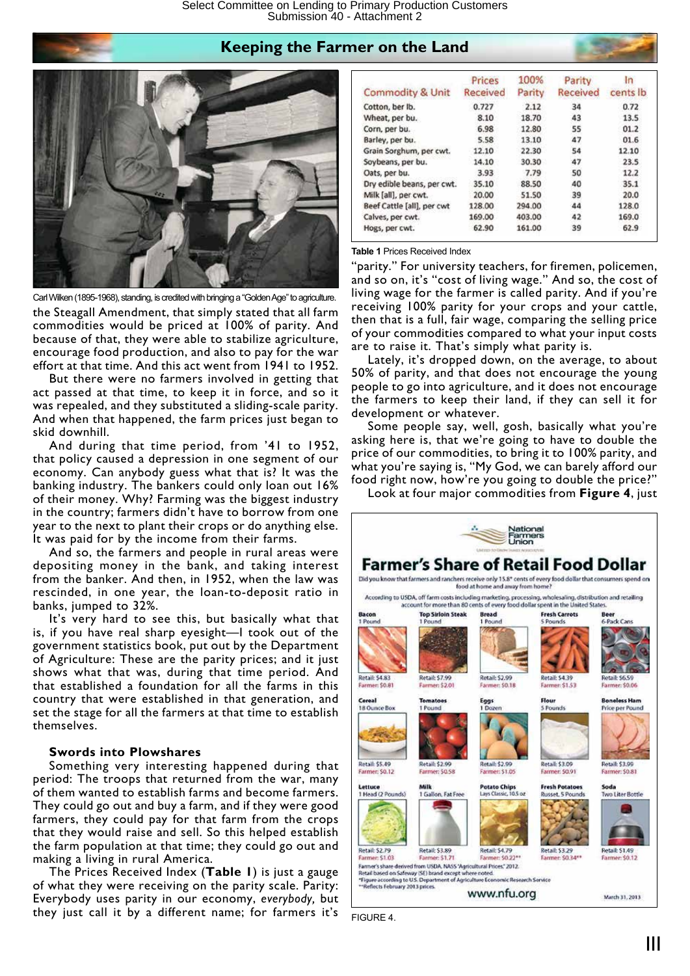

the Steagall Amendment, that simply stated that all farm commodities would be priced at 100% of parity. And because of that, they were able to stabilize agriculture, encourage food production, and also to pay for the war effort at that time. And this act went from 1941 to 1952. Carl Wilken (1895-1968), standing, is credited with bringing a "Golden Age" to agriculture.

But there were no farmers involved in getting that act passed at that time, to keep it in force, and so it was repealed, and they substituted a sliding-scale parity. And when that happened, the farm prices just began to skid downhill.

And during that time period, from '41 to 1952, that policy caused a depression in one segment of our economy. Can anybody guess what that is? It was the banking industry. The bankers could only loan out 16% of their money. Why? Farming was the biggest industry in the country; farmers didn't have to borrow from one year to the next to plant their crops or do anything else. It was paid for by the income from their farms.

And so, the farmers and people in rural areas were depositing money in the bank, and taking interest from the banker. And then, in 1952, when the law was rescinded, in one year, the loan-to-deposit ratio in banks, jumped to 32%.

It's very hard to see this, but basically what that is, if you have real sharp eyesight—I took out of the government statistics book, put out by the Department of Agriculture: These are the parity prices; and it just shows what that was, during that time period. And that established a foundation for all the farms in this country that were established in that generation, and set the stage for all the farmers at that time to establish themselves.

#### **Swords into Plowshares**

Something very interesting happened during that period: The troops that returned from the war, many of them wanted to establish farms and become farmers. They could go out and buy a farm, and if they were good farmers, they could pay for that farm from the crops that they would raise and sell. So this helped establish the farm population at that time; they could go out and making a living in rural America.

The Prices Received Index (**Table 1**) is just a gauge of what they were receiving on the parity scale. Parity: Everybody uses parity in our economy, *everybody,* but they just call it by a different name; for farmers it's

| <b>Commodity &amp; Unit</b> | Prices<br>Received | 100%<br>Parity | Parity<br>Received | In<br>cents lb |  |
|-----------------------------|--------------------|----------------|--------------------|----------------|--|
| Cotton, ber lb.             | 0.727              | 2.12           | 34                 | 0.72           |  |
| Wheat, per bu.              | 8.10               | 18.70          | 43                 | 13.5           |  |
| Corn, per bu.               | 6.98               | 12.80          | 55                 | 01.2           |  |
| Barley, per bu.             | 5.58               | 13.10          | 47                 | 01.6           |  |
| Grain Sorghum, per cwt.     | 12.10              | 22.30          | 54                 | 12.10          |  |
| Soybeans, per bu.           | 14.10              | 30.30          | 47                 | 23.5           |  |
| Oats, per bu.               | 3.93               | 7.79           | 50                 | 12.2           |  |
| Dry edible beans, per cwt.  | 35.10              | 88.50          | 40                 | 35.1           |  |
| Milk [all], per cwt.        | 20.00              | 51.50          | 39                 | 20.0           |  |
| Beef Cattle [all], per cwt  | 128.00             | 294.00         | 44                 | 128.0          |  |
| Calves, per cwt.            | 169.00             | 403.00         | 42                 | 169.0          |  |
| Hogs, per cwt.              | 62.90              | 161.00         | 39                 | 62.9           |  |

#### **Table 1** Prices Received Index

"parity." For university teachers, for firemen, policemen, and so on, it's "cost of living wage." And so, the cost of living wage for the farmer is called parity. And if you're receiving 100% parity for your crops and your cattle, then that is a full, fair wage, comparing the selling price of your commodities compared to what your input costs are to raise it. That's simply what parity is.

Lately, it's dropped down, on the average, to about 50% of parity, and that does not encourage the young people to go into agriculture, and it does not encourage the farmers to keep their land, if they can sell it for development or whatever.

Some people say, well, gosh, basically what you're asking here is, that we're going to have to double the price of our commodities, to bring it to 100% parity, and what you're saying is, "My God, we can barely afford our food right now, how're you going to double the price?"





FIGURE 4.